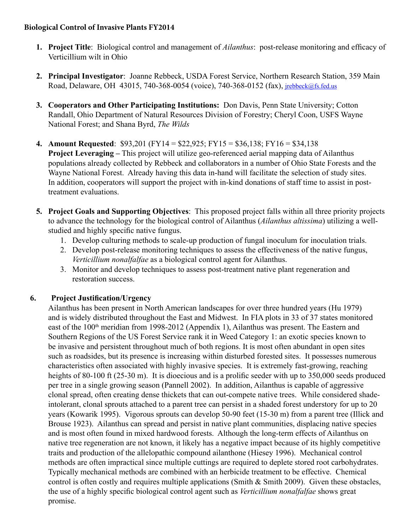## **Biological Control of Invasive Plants FY2014**

- **1. Project Title**: Biological control and management of *Ailanthus*: post-release monitoring and efficacy of Verticillium wilt in Ohio
- **2. Principal Investigator**: Joanne Rebbeck, USDA Forest Service, Northern Research Station, 359 Main Road, Delaware, OH 43015, 740-368-0054 (voice), 740-368-0152 (fax), [jrebbeck@fs.fed.us](mailto:jrebbeck@fs.fed.us)
- **3. Cooperators and Other Participating Institutions:** Don Davis, Penn State University; Cotton Randall, Ohio Department of Natural Resources Division of Forestry; Cheryl Coon, USFS Wayne National Forest; and Shana Byrd, *The Wilds*
- **4. Amount Requested**: \$93,201 (FY14 = \$22,925; FY15 = \$36,138; FY16 = \$34,138 **Project Leveraging –** This project will utilize geo-referenced aerial mapping data of Ailanthus populations already collected by Rebbeck and collaborators in a number of Ohio State Forests and the Wayne National Forest. Already having this data in-hand will facilitate the selection of study sites. In addition, cooperators will support the project with in-kind donations of staff time to assist in posttreatment evaluations.
- **5. Project Goals and Supporting Objectives**: This proposed project falls within all three priority projects to advance the technology for the biological control of Ailanthus (*Ailanthus altissima*) utilizing a wellstudied and highly specific native fungus.
	- 1. Develop culturing methods to scale-up production of fungal inoculum for inoculation trials.
	- 2. Develop post-release monitoring techniques to assess the effectiveness of the native fungus, *Verticillium nonalfalfae* as a biological control agent for Ailanthus.
	- 3. Monitor and develop techniques to assess post-treatment native plant regeneration and restoration success.

# **6. Project Justification/Urgency**

Ailanthus has been present in North American landscapes for over three hundred years (Hu 1979) and is widely distributed throughout the East and Midwest. In FIA plots in 33 of 37 states monitored east of the 100<sup>th</sup> meridian from 1998-2012 (Appendix 1), Ailanthus was present. The Eastern and Southern Regions of the US Forest Service rank it in Weed Category 1: an exotic species known to be invasive and persistent throughout much of both regions. It is most often abundant in open sites such as roadsides, but its presence is increasing within disturbed forested sites. It possesses numerous characteristics often associated with highly invasive species. It is extremely fast-growing, reaching heights of 80-100 ft (25-30 m). It is dioecious and is a prolific seeder with up to 350,000 seeds produced per tree in a single growing season (Pannell 2002). In addition, Ailanthus is capable of aggressive clonal spread, often creating dense thickets that can out-compete native trees. While considered shadeintolerant, clonal sprouts attached to a parent tree can persist in a shaded forest understory for up to 20 years (Kowarik 1995). Vigorous sprouts can develop 50-90 feet (15-30 m) from a parent tree (Illick and Brouse 1923). Ailanthus can spread and persist in native plant communities, displacing native species and is most often found in mixed hardwood forests. Although the long-term effects of Ailanthus on native tree regeneration are not known, it likely has a negative impact because of its highly competitive traits and production of the allelopathic compound ailanthone (Hiesey 1996). Mechanical control methods are often impractical since multiple cuttings are required to deplete stored root carbohydrates. Typically mechanical methods are combined with an herbicide treatment to be effective. Chemical control is often costly and requires multiple applications (Smith & Smith 2009). Given these obstacles, the use of a highly specific biological control agent such as *Verticillium nonalfalfae* shows great promise.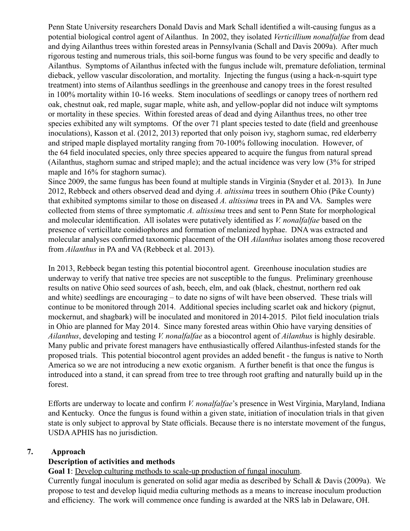Penn State University researchers Donald Davis and Mark Schall identified a wilt-causing fungus as a potential biological control agent of Ailanthus. In 2002, they isolated *Verticillium nonalfalfae* from dead and dying Ailanthus trees within forested areas in Pennsylvania (Schall and Davis 2009a). After much rigorous testing and numerous trials, this soil-borne fungus was found to be very specific and deadly to Ailanthus. Symptoms of Ailanthus infected with the fungus include wilt, premature defoliation, terminal dieback, yellow vascular discoloration, and mortality. Injecting the fungus (using a hack-n-squirt type treatment) into stems of Ailanthus seedlings in the greenhouse and canopy trees in the forest resulted in 100% mortality within 10-16 weeks. Stem inoculations of seedlings or canopy trees of northern red oak, chestnut oak, red maple, sugar maple, white ash, and yellow-poplar did not induce wilt symptoms or mortality in these species. Within forested areas of dead and dying Ailanthus trees, no other tree species exhibited any wilt symptoms. Of the over 71 plant species tested to date (field and greenhouse inoculations), Kasson et al. (2012, 2013) reported that only poison ivy, staghorn sumac, red elderberry and striped maple displayed mortality ranging from 70-100% following inoculation. However, of the 64 field inoculated species, only three species appeared to acquire the fungus from natural spread (Ailanthus, staghorn sumac and striped maple); and the actual incidence was very low (3% for striped maple and 16% for staghorn sumac).

Since 2009, the same fungus has been found at multiple stands in Virginia (Snyder et al. 2013). In June 2012, Rebbeck and others observed dead and dying *A. altissima* trees in southern Ohio (Pike County) that exhibited symptoms similar to those on diseased *A. altissima* trees in PA and VA. Samples were collected from stems of three symptomatic *A. altissima* trees and sent to Penn State for morphological and molecular identification. All isolates were putatively identified as *V. nonalfalfae* based on the presence of verticillate conidiophores and formation of melanized hyphae. DNA was extracted and molecular analyses confirmed taxonomic placement of the OH *Ailanthus* isolates among those recovered from *Ailanthus* in PA and VA (Rebbeck et al. 2013).

In 2013, Rebbeck began testing this potential biocontrol agent. Greenhouse inoculation studies are underway to verify that native tree species are not susceptible to the fungus. Preliminary greenhouse results on native Ohio seed sources of ash, beech, elm, and oak (black, chestnut, northern red oak and white) seedlings are encouraging – to date no signs of wilt have been observed. These trials will continue to be monitored through 2014. Additional species including scarlet oak and hickory (pignut, mockernut, and shagbark) will be inoculated and monitored in 2014-2015. Pilot field inoculation trials in Ohio are planned for May 2014. Since many forested areas within Ohio have varying densities of *Ailanthus*, developing and testing *V. nonalfalfae* as a biocontrol agent of *Ailanthus* is highly desirable. Many public and private forest managers have enthusiastically offered Ailanthus-infested stands for the proposed trials. This potential biocontrol agent provides an added benefit - the fungus is native to North America so we are not introducing a new exotic organism. A further benefit is that once the fungus is introduced into a stand, it can spread from tree to tree through root grafting and naturally build up in the forest.

Efforts are underway to locate and confirm *V. nonalfalfae*'s presence in West Virginia, Maryland, Indiana and Kentucky. Once the fungus is found within a given state, initiation of inoculation trials in that given state is only subject to approval by State officials. Because there is no interstate movement of the fungus, USDA APHIS has no jurisdiction.

## **7. Approach**

## **Description of activities and methods**

## **Goal 1**: Develop culturing methods to scale-up production of fungal inoculum.

Currently fungal inoculum is generated on solid agar media as described by Schall & Davis (2009a). We propose to test and develop liquid media culturing methods as a means to increase inoculum production and efficiency. The work will commence once funding is awarded at the NRS lab in Delaware, OH.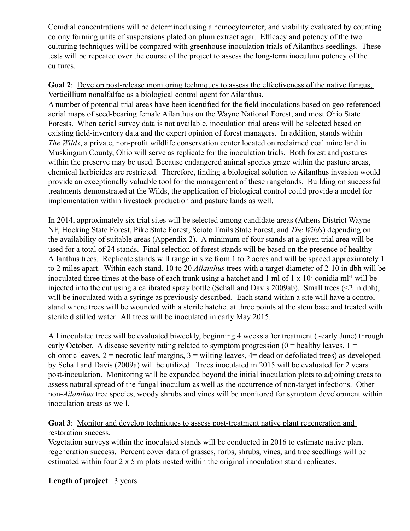Conidial concentrations will be determined using a hemocytometer; and viability evaluated by counting colony forming units of suspensions plated on plum extract agar. Efficacy and potency of the two culturing techniques will be compared with greenhouse inoculation trials of Ailanthus seedlings. These tests will be repeated over the course of the project to assess the long-term inoculum potency of the cultures.

# **Goal 2**: Develop post-release monitoring techniques to assess the effectiveness of the native fungus, Verticillium nonalfalfae as a biological control agent for Ailanthus.

A number of potential trial areas have been identified for the field inoculations based on geo-referenced aerial maps of seed-bearing female Ailanthus on the Wayne National Forest, and most Ohio State Forests. When aerial survey data is not available, inoculation trial areas will be selected based on existing field-inventory data and the expert opinion of forest managers. In addition, stands within *The Wilds*, a private, non-profit wildlife conservation center located on reclaimed coal mine land in Muskingum County, Ohio will serve as replicate for the inoculation trials. Both forest and pastures within the preserve may be used. Because endangered animal species graze within the pasture areas, chemical herbicides are restricted. Therefore, finding a biological solution to Ailanthus invasion would provide an exceptionally valuable tool for the management of these rangelands. Building on successful treatments demonstrated at the Wilds, the application of biological control could provide a model for implementation within livestock production and pasture lands as well.

In 2014, approximately six trial sites will be selected among candidate areas (Athens District Wayne NF, Hocking State Forest, Pike State Forest, Scioto Trails State Forest, and *The Wilds*) depending on the availability of suitable areas (Appendix 2). A minimum of four stands at a given trial area will be used for a total of 24 stands. Final selection of forest stands will be based on the presence of healthy Ailanthus trees. Replicate stands will range in size from 1 to 2 acres and will be spaced approximately 1 to 2 miles apart. Within each stand, 10 to 20 *Ailanthus* trees with a target diameter of 2-10 in dbh will be inoculated three times at the base of each trunk using a hatchet and  $1 \text{ ml of } 1 \times 10^7$  conidia ml<sup>-1</sup> will be injected into the cut using a calibrated spray bottle (Schall and Davis 2009ab). Small trees  $(\leq 2$  in dbh), will be inoculated with a syringe as previously described. Each stand within a site will have a control stand where trees will be wounded with a sterile hatchet at three points at the stem base and treated with sterile distilled water. All trees will be inoculated in early May 2015.

All inoculated trees will be evaluated biweekly, beginning 4 weeks after treatment (~early June) through early October. A disease severity rating related to symptom progression  $(0 =$  healthy leaves,  $1 =$ chlorotic leaves,  $2$  = necrotic leaf margins,  $3$  = wilting leaves,  $4$ = dead or defoliated trees) as developed by Schall and Davis (2009a) will be utilized. Trees inoculated in 2015 will be evaluated for 2 years post-inoculation. Monitoring will be expanded beyond the initial inoculation plots to adjoining areas to assess natural spread of the fungal inoculum as well as the occurrence of non-target infections. Other non-*Ailanthus* tree species, woody shrubs and vines will be monitored for symptom development within inoculation areas as well.

# **Goal 3**: Monitor and develop techniques to assess post-treatment native plant regeneration and restoration success.

Vegetation surveys within the inoculated stands will be conducted in 2016 to estimate native plant regeneration success. Percent cover data of grasses, forbs, shrubs, vines, and tree seedlings will be estimated within four 2 x 5 m plots nested within the original inoculation stand replicates.

**Length of project**:3 years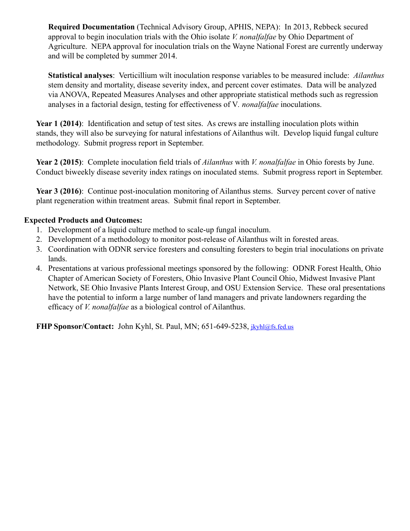**Required Documentation** (Technical Advisory Group, APHIS, NEPA): In 2013, Rebbeck secured approval to begin inoculation trials with the Ohio isolate *V. nonalfalfae* by Ohio Department of Agriculture. NEPA approval for inoculation trials on the Wayne National Forest are currently underway and will be completed by summer 2014.

**Statistical analyses**: Verticillium wilt inoculation response variables to be measured include: *Ailanthus* stem density and mortality, disease severity index, and percent cover estimates. Data will be analyzed via ANOVA, Repeated Measures Analyses and other appropriate statistical methods such as regression analyses in a factorial design, testing for effectiveness of V*. nonalfalfae* inoculations.

Year 1 (2014): Identification and setup of test sites. As crews are installing inoculation plots within stands, they will also be surveying for natural infestations of Ailanthus wilt. Develop liquid fungal culture methodology. Submit progress report in September.

**Year 2 (2015)**: Complete inoculation field trials of *Ailanthus* with *V. nonalfalfae* in Ohio forests by June. Conduct biweekly disease severity index ratings on inoculated stems. Submit progress report in September.

**Year 3 (2016)**: Continue post-inoculation monitoring of Ailanthus stems. Survey percent cover of native plant regeneration within treatment areas. Submit final report in September.

## **Expected Products and Outcomes:**

- 1. Development of a liquid culture method to scale-up fungal inoculum.
- 2. Development of a methodology to monitor post-release of Ailanthus wilt in forested areas.
- 3. Coordination with ODNR service foresters and consulting foresters to begin trial inoculations on private lands.
- 4. Presentations at various professional meetings sponsored by the following: ODNR Forest Health, Ohio Chapter of American Society of Foresters, Ohio Invasive Plant Council Ohio, Midwest Invasive Plant Network, SE Ohio Invasive Plants Interest Group, and OSU Extension Service. These oral presentations have the potential to inform a large number of land managers and private landowners regarding the efficacy of *V. nonalfalfae* as a biological control of Ailanthus.

**FHP Sponsor/Contact:** John Kyhl, St. Paul, MN; 651-649-5238, [jkyhl@fs.fed.us](mailto:jkyhl@fs.fed.us)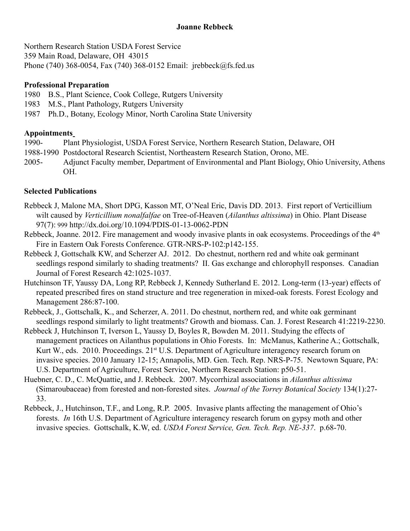#### **Joanne Rebbeck**

Northern Research Station USDA Forest Service 359 Main Road, Delaware, OH 43015 Phone (740) 368-0054, Fax (740) 368-0152 Email: jrebbeck@fs.fed.us

## **Professional Preparation**

- 1980 B.S., Plant Science, Cook College, Rutgers University
- 1983 M.S., Plant Pathology, Rutgers University
- 1987 Ph.D., Botany, Ecology Minor, North Carolina State University

#### **Appointments**

- 1990- Plant Physiologist, USDA Forest Service, Northern Research Station, Delaware, OH
- 1988-1990 Postdoctoral Research Scientist, Northeastern Research Station, Orono, ME.
- 2005- Adjunct Faculty member, Department of Environmental and Plant Biology, Ohio University, Athens OH.

## **Selected Publications**

- Rebbeck J, Malone MA, Short DPG, Kasson MT, O'Neal Eric, Davis DD. 2013. First report of Verticillium wilt caused by *Verticillium nonalfalfae* on Tree-of-Heaven (*Ailanthus altissima*) in Ohio. Plant Disease 97(7): 999 http://dx.doi.org/10.1094/PDIS-01-13-0062-PDN
- Rebbeck, Joanne. 2012. Fire management and woody invasive plants in oak ecosystems. Proceedings of the 4<sup>th</sup> Fire in Eastern Oak Forests Conference. GTR-NRS-P-102:p142-155.
- Rebbeck J, Gottschalk KW, and Scherzer AJ. 2012. Do chestnut, northern red and white oak germinant seedlings respond similarly to shading treatments? II. Gas exchange and chlorophyll responses. Canadian Journal of Forest Research 42:1025-1037.
- Hutchinson TF, Yaussy DA, Long RP, Rebbeck J, Kennedy Sutherland E. 2012. Long-term (13-year) effects of repeated prescribed fires on stand structure and tree regeneration in mixed-oak forests. Forest Ecology and Management 286:87-100.
- Rebbeck, J., Gottschalk, K., and Scherzer, A. 2011. Do chestnut, northern red, and white oak germinant seedlings respond similarly to light treatments? Growth and biomass. Can. J. Forest Research 41:2219-2230.
- Rebbeck J, Hutchinson T, Iverson L, Yaussy D, Boyles R, Bowden M. 2011. Studying the effects of management practices on Ailanthus populations in Ohio Forests. In: McManus, Katherine A.; Gottschalk, Kurt W., eds. 2010. Proceedings. 21<sup>st</sup> U.S. Department of Agriculture interagency research forum on invasive species. 2010 January 12-15; Annapolis, MD. Gen. Tech. Rep. NRS-P-75. Newtown Square, PA: U.S. Department of Agriculture, Forest Service, Northern Research Station: p50-51.
- Huebner, C. D., C. McQuattie, and J. Rebbeck. 2007. Mycorrhizal associations in *Ailanthus altissima* (Simaroubaceae) from forested and non-forested sites. *Journal of the Torrey Botanical Society* 134(1):27- 33.
- Rebbeck, J., Hutchinson, T.F., and Long, R.P. 2005. Invasive plants affecting the management of Ohio's forests. *In* 16th U.S. Department of Agriculture interagency research forum on gypsy moth and other invasive species. Gottschalk, K.W, ed. *USDA Forest Service, Gen. Tech. Rep. NE-337*. p.68-70.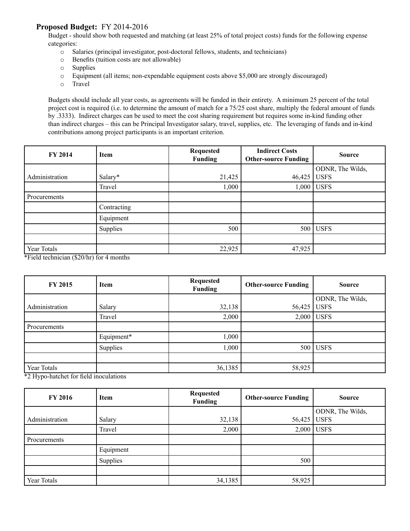#### **Proposed Budget:** FY 2014-2016

Budget - should show both requested and matching (at least 25% of total project costs) funds for the following expense categories:

- o Salaries (principal investigator, post-doctoral fellows, students, and technicians)
- o Benefits (tuition costs are not allowable)
- o Supplies
- o Equipment (all items; non-expendable equipment costs above \$5,000 are strongly discouraged)
- o Travel

Budgets should include all year costs, as agreements will be funded in their entirety. A minimum 25 percent of the total project cost is required (i.e. to determine the amount of match for a 75/25 cost share, multiply the federal amount of funds by .3333). Indirect charges can be used to meet the cost sharing requirement but requires some in-kind funding other than indirect charges – this can be Principal Investigator salary, travel, supplies, etc. The leveraging of funds and in-kind contributions among project participants is an important criterion.

| <b>FY 2014</b> | <b>Item</b> | <b>Requested</b><br>Funding | <b>Indirect Costs</b><br><b>Other-source Funding</b> | <b>Source</b>    |
|----------------|-------------|-----------------------------|------------------------------------------------------|------------------|
|                |             |                             |                                                      | ODNR, The Wilds, |
| Administration | Salary*     | 21,425                      | 46,425                                               | <b>USFS</b>      |
|                | Travel      | 1,000                       | 1,000                                                | <b>USFS</b>      |
| Procurements   |             |                             |                                                      |                  |
|                | Contracting |                             |                                                      |                  |
|                | Equipment   |                             |                                                      |                  |
|                | Supplies    | 500                         | 500                                                  | <b>USFS</b>      |
|                |             |                             |                                                      |                  |
| Year Totals    |             | 22,925                      | 47,925                                               |                  |

\*Field technician (\$20/hr) for 4 months

| <b>FY 2015</b> | <b>Item</b>     | <b>Requested</b><br><b>Funding</b> | <b>Other-source Funding</b> | <b>Source</b>    |
|----------------|-----------------|------------------------------------|-----------------------------|------------------|
|                |                 |                                    |                             | ODNR, The Wilds, |
| Administration | Salary          | 32,138                             | 56,425                      | <b>USFS</b>      |
|                | Travel          | 2,000                              |                             | $2,000$ USFS     |
| Procurements   |                 |                                    |                             |                  |
|                | Equipment*      | 1,000                              |                             |                  |
|                | Supplies        | 1,000                              | 500                         | USFS             |
|                |                 |                                    |                             |                  |
| Year Totals    | $\cdot$ $\cdot$ | 36,1385                            | 58,925                      |                  |

\*2 Hypo-hatchet for field inoculations

| <b>FY 2016</b> | <b>Item</b> | <b>Requested</b><br>Funding | <b>Other-source Funding</b> | <b>Source</b>    |
|----------------|-------------|-----------------------------|-----------------------------|------------------|
|                |             |                             |                             | ODNR, The Wilds, |
| Administration | Salary      | 32,138                      | 56,425                      | <b>USFS</b>      |
|                | Travel      | 2,000                       |                             | $2,000$ USFS     |
| Procurements   |             |                             |                             |                  |
|                | Equipment   |                             |                             |                  |
|                | Supplies    |                             | 500                         |                  |
|                |             |                             |                             |                  |
| Year Totals    |             | 34,1385                     | 58,925                      |                  |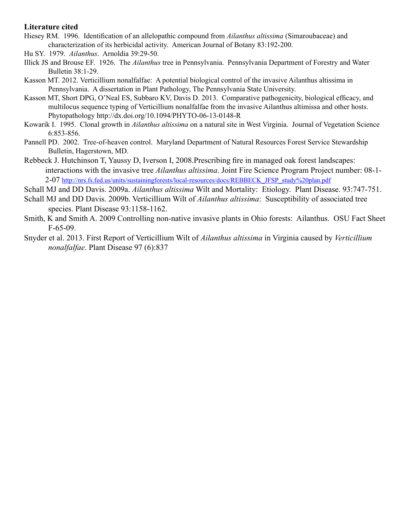#### **Literature cited**

- Hiesey RM. 1996. Identification of an allelopathic compound from *Ailanthus altissima* (Simaroubaceae) and characterization of its herbicidal activity. American Journal of Botany 83:192-200.
- Hu SY. 1979. *Ailanthus*. Arnoldia 39:29-50.
- Illick JS and Brouse EF. 1926. The *Ailanthus* tree in Pennsylvania. Pennsylvania Department of Forestry and Water Bulletin 38:1-29.
- Kasson MT. 2012. Verticillium nonalfalfae: A potential biological control of the invasive Ailanthus altissima in Pennsylvania. A dissertation in Plant Pathology, The Pennsylvania State University.
- Kasson MT, Short DPG, O'Neal ES, Subbaro KV, Davis D. 2013. Comparative pathogenicity, biological efficacy, and multilocus sequence typing of Verticillium nonalfalfae from the invasive Ailanthus altimissa and other hosts. Phytopathology http://dx.doi.org/10.1094/PHYTO-06-13-0148-R
- Kowarik I. 1995. Clonal growth in *Ailanthus altissima* on a natural site in West Virginia. Journal of Vegetation Science 6:853-856.
- Pannell PD. 2002. Tree-of-heaven control. Maryland Department of Natural Resources Forest Service Stewardship Bulletin, Hagerstown, MD.
- Rebbeck J. Hutchinson T, Yaussy D, Iverson I, 2008.Prescribing fire in managed oak forest landscapes: interactions with the invasive tree *Ailanthus altissima*. Joint Fire Science Program Project number: 08-1- 2-07 [http://nrs.fs.fed.us/units/sustainingforests/local-resources/docs/REBBECK\\_JFSP\\_study%20plan.pdf](http://nrs.fs.fed.us/units/sustainingforests/local-resources/docs/REBBECK_JFSP_study plan.pdf)

Schall MJ and DD Davis. 2009a. *Ailanthus altissima* Wilt and Mortality: Etiology. Plant Disease. 93:747-751.

- Schall MJ and DD Davis. 2009b. Verticillium Wilt of *Ailanthus altissima*: Susceptibility of associated tree species. Plant Disease 93:1158-1162.
- Smith, K and Smith A. 2009 Controlling non-native invasive plants in Ohio forests: Ailanthus. OSU Fact Sheet F-65-09.
- Snyder et al. 2013. First Report of Verticillium Wilt of *Ailanthus altissima* in Virginia caused by *Verticillium nonalfalfae*. Plant Disease 97 (6):837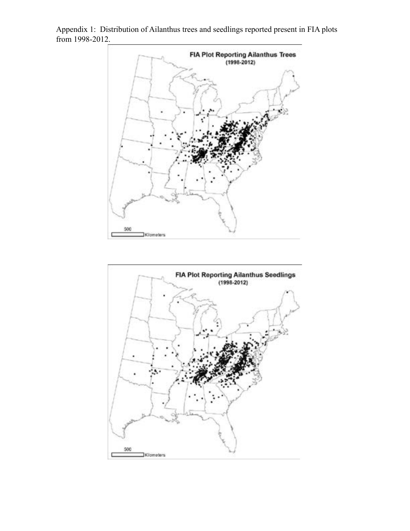Appendix 1: Distribution of Ailanthus trees and seedlings reported present in FIA plots from 1998-2012.



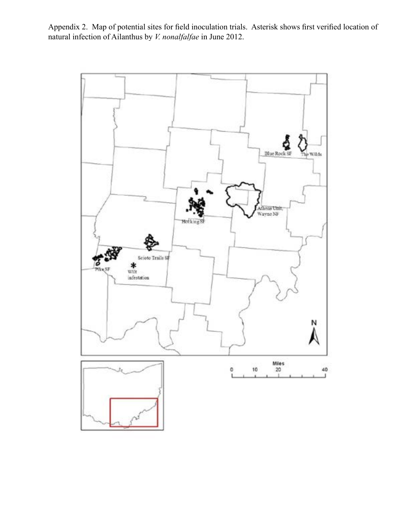Appendix 2. Map of potential sites for field inoculation trials. Asterisk shows first verified location of natural infection of Ailanthus by *V. nonalfalfae* in June 2012.

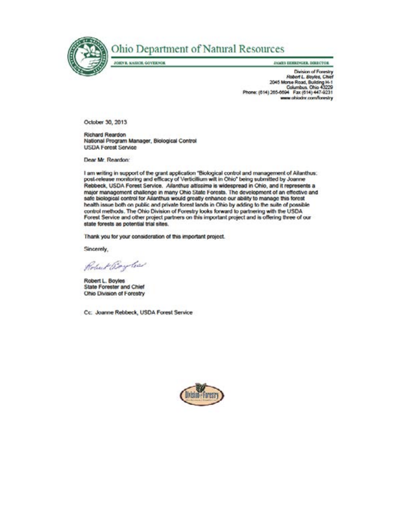

# Ohio Department of Natural Resources

**JAMES EXHIGINGER, DIRECTOR** 

Division of Forestry Robert L. Boyles, Chief 2045 Morse Road, Building H-1<br>Columbus, Ohio 43229 Phone: (614) 265-6694 Fax (614) 447-9231 www.ohiodnr.com/forestry

October 30, 2013

Richard Reardon National Program Manager, Biological Control **USDA Forest Service** 

JOIDY R. KASSCH, GOVERNOR

Dear Mr. Reardon:

I am writing in support of the grant application "Biological control and management of Ailanthus: post-release monitoring and efficacy of Verticillium wilt in Ohio" being submitted by Joanne Rebbeck, USDA Forest Service. Allanthus altissima is widespread in Ohio, and it represents a major management challenge in many Ohio State Forests. The development of an effective and safe biological control for Allanthus would greatly enhance our ability to manage this forest health issue both on public and private forest lands in Ohio by adding to the suite of possible control methods. The Ohio Division of Forestry looks forward to partnering with the USDA Forest Service and other project partners on this important project and is offering three of our state forests as potential trial sites.

Thank you for your consideration of this important project.

Sincerely,

Robert Boylead

Robert L. Boyles **State Forester and Chief** Ohio Division of Forestry

Cc: Joanne Rebbeck, USDA Forest Service